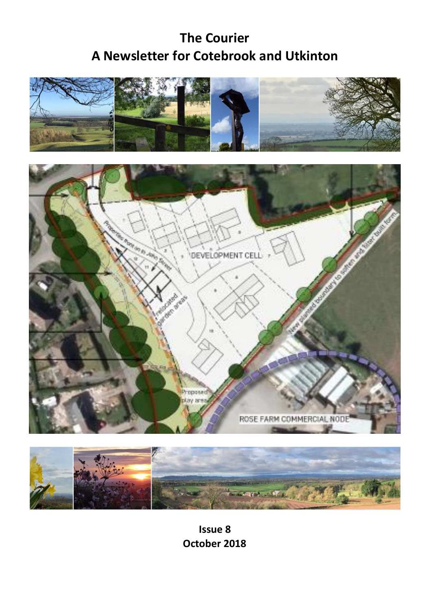# **The Courier A Newsletter for Cotebrook and Utkinton**







**Issue 8 October 2018**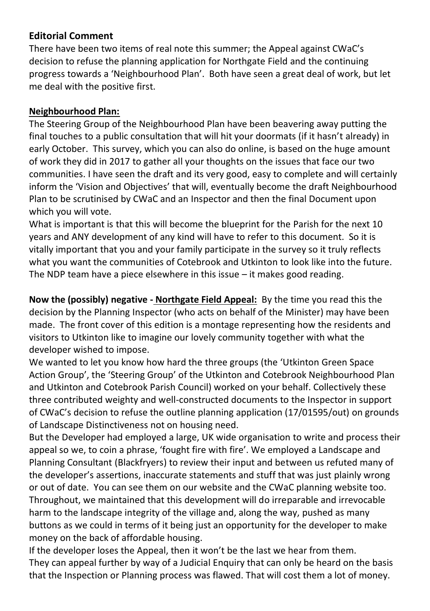#### **Editorial Comment**

There have been two items of real note this summer; the Appeal against CWaC's decision to refuse the planning application for Northgate Field and the continuing progress towards a 'Neighbourhood Plan'. Both have seen a great deal of work, but let me deal with the positive first.

#### **Neighbourhood Plan:**

The Steering Group of the Neighbourhood Plan have been beavering away putting the final touches to a public consultation that will hit your doormats (if it hasn't already) in early October. This survey, which you can also do online, is based on the huge amount of work they did in 2017 to gather all your thoughts on the issues that face our two communities. I have seen the draft and its very good, easy to complete and will certainly inform the 'Vision and Objectives' that will, eventually become the draft Neighbourhood Plan to be scrutinised by CWaC and an Inspector and then the final Document upon which you will vote.

What is important is that this will become the blueprint for the Parish for the next 10 years and ANY development of any kind will have to refer to this document. So it is vitally important that you and your family participate in the survey so it truly reflects what you want the communities of Cotebrook and Utkinton to look like into the future. The NDP team have a piece elsewhere in this issue – it makes good reading.

**Now the (possibly) negative - Northgate Field Appeal:** By the time you read this the decision by the Planning Inspector (who acts on behalf of the Minister) may have been made. The front cover of this edition is a montage representing how the residents and visitors to Utkinton like to imagine our lovely community together with what the developer wished to impose.

We wanted to let you know how hard the three groups (the 'Utkinton Green Space Action Group', the 'Steering Group' of the Utkinton and Cotebrook Neighbourhood Plan and Utkinton and Cotebrook Parish Council) worked on your behalf. Collectively these three contributed weighty and well-constructed documents to the Inspector in support of CWaC's decision to refuse the outline planning application (17/01595/out) on grounds of Landscape Distinctiveness not on housing need.

But the Developer had employed a large, UK wide organisation to write and process their appeal so we, to coin a phrase, 'fought fire with fire'. We employed a Landscape and Planning Consultant (Blackfryers) to review their input and between us refuted many of the developer's assertions, inaccurate statements and stuff that was just plainly wrong or out of date. You can see them on our website and the CWaC planning website too. Throughout, we maintained that this development will do irreparable and irrevocable harm to the landscape integrity of the village and, along the way, pushed as many buttons as we could in terms of it being just an opportunity for the developer to make money on the back of affordable housing.

If the developer loses the Appeal, then it won't be the last we hear from them. They can appeal further by way of a Judicial Enquiry that can only be heard on the basis that the Inspection or Planning process was flawed. That will cost them a lot of money.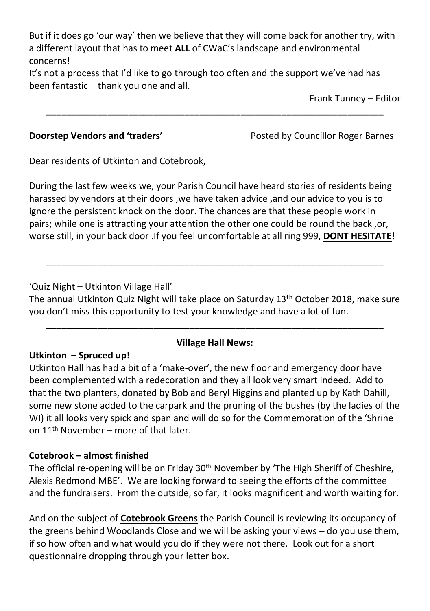But if it does go 'our way' then we believe that they will come back for another try, with a different layout that has to meet **ALL** of CWaC's landscape and environmental concerns!

\_\_\_\_\_\_\_\_\_\_\_\_\_\_\_\_\_\_\_\_\_\_\_\_\_\_\_\_\_\_\_\_\_\_\_\_\_\_\_\_\_\_\_\_\_\_\_\_\_\_\_\_\_\_\_\_\_\_\_\_\_\_\_\_\_\_

It's not a process that I'd like to go through too often and the support we've had has been fantastic – thank you one and all.

Frank Tunney – Editor

**Doorstep Vendors and 'traders'** Posted by Councillor Roger Barnes

Dear residents of Utkinton and Cotebrook,

During the last few weeks we, your Parish Council have heard stories of residents being harassed by vendors at their doors ,we have taken advice ,and our advice to you is to ignore the persistent knock on the door. The chances are that these people work in pairs; while one is attracting your attention the other one could be round the back ,or, worse still, in your back door .If you feel uncomfortable at all ring 999, **DONT HESITATE**!

#### 'Quiz Night – Utkinton Village Hall'

The annual Utkinton Quiz Night will take place on Saturday 13th October 2018, make sure you don't miss this opportunity to test your knowledge and have a lot of fun.

\_\_\_\_\_\_\_\_\_\_\_\_\_\_\_\_\_\_\_\_\_\_\_\_\_\_\_\_\_\_\_\_\_\_\_\_\_\_\_\_\_\_\_\_\_\_\_\_\_\_\_\_\_\_\_\_\_\_\_\_\_\_\_\_\_\_

## \_\_\_\_\_\_\_\_\_\_\_\_\_\_\_\_\_\_\_\_\_\_\_\_\_\_\_\_\_\_\_\_\_\_\_\_\_\_\_\_\_\_\_\_\_\_\_\_\_\_\_\_\_\_\_\_\_\_\_\_\_\_\_\_\_\_ **Village Hall News:**

#### **Utkinton – Spruced up!**

Utkinton Hall has had a bit of a 'make-over', the new floor and emergency door have been complemented with a redecoration and they all look very smart indeed. Add to that the two planters, donated by Bob and Beryl Higgins and planted up by Kath Dahill, some new stone added to the carpark and the pruning of the bushes (by the ladies of the WI) it all looks very spick and span and will do so for the Commemoration of the 'Shrine on 11th November – more of that later.

#### **Cotebrook – almost finished**

The official re-opening will be on Friday  $30<sup>th</sup>$  November by 'The High Sheriff of Cheshire, Alexis Redmond MBE'. We are looking forward to seeing the efforts of the committee and the fundraisers. From the outside, so far, it looks magnificent and worth waiting for.

And on the subject of **Cotebrook Greens** the Parish Council is reviewing its occupancy of the greens behind Woodlands Close and we will be asking your views – do you use them, if so how often and what would you do if they were not there. Look out for a short questionnaire dropping through your letter box.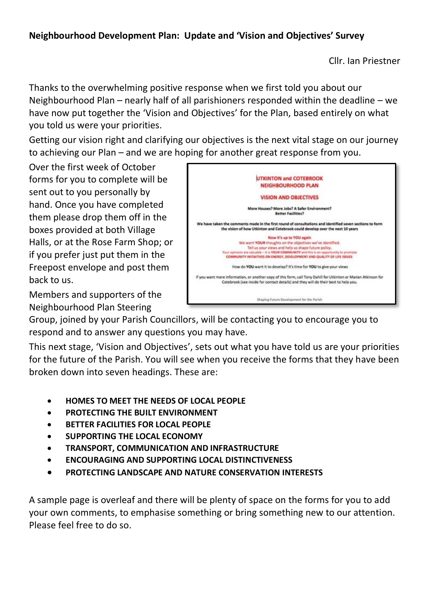#### **Neighbourhood Development Plan: Update and 'Vision and Objectives' Survey**

Cllr. Ian Priestner

Thanks to the overwhelming positive response when we first told you about our Neighbourhood Plan – nearly half of all parishioners responded within the deadline – we have now put together the 'Vision and Objectives' for the Plan, based entirely on what you told us were your priorities.

Getting our vision right and clarifying our objectives is the next vital stage on our journey to achieving our Plan – and we are hoping for another great response from you.

Over the first week of October forms for you to complete will be sent out to you personally by hand. Once you have completed them please drop them off in the boxes provided at both Village Halls, or at the Rose Farm Shop; or if you prefer just put them in the Freepost envelope and post them back to us.



Members and supporters of the Neighbourhood Plan Steering

Group, joined by your Parish Councillors, will be contacting you to encourage you to respond and to answer any questions you may have.

This next stage, 'Vision and Objectives', sets out what you have told us are your priorities for the future of the Parish. You will see when you receive the forms that they have been broken down into seven headings. These are:

- **HOMES TO MEET THE NEEDS OF LOCAL PEOPLE**
- **PROTECTING THE BUILT ENVIRONMENT**
- **BETTER FACILITIES FOR LOCAL PEOPLE**
- **SUPPORTING THE LOCAL ECONOMY**
- **TRANSPORT, COMMUNICATION AND INFRASTRUCTURE**
- **ENCOURAGING AND SUPPORTING LOCAL DISTINCTIVENESS**
- **PROTECTING LANDSCAPE AND NATURE CONSERVATION INTERESTS**

A sample page is overleaf and there will be plenty of space on the forms for you to add your own comments, to emphasise something or bring something new to our attention. Please feel free to do so.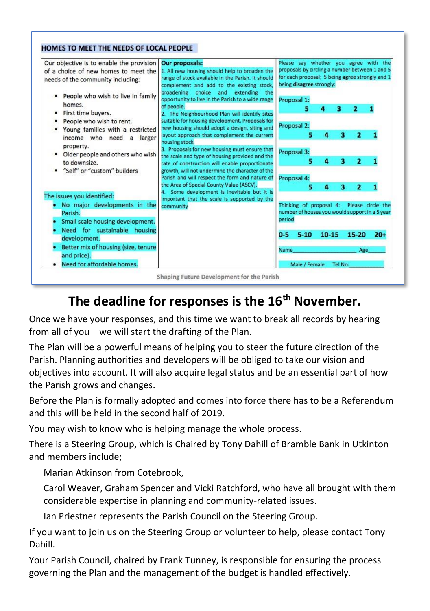



# **The deadline for responses is the 16th November.**

Once we have your responses, and this time we want to break all records by hearing from all of you – we will start the drafting of the Plan.

The Plan will be a powerful means of helping you to steer the future direction of the Parish. Planning authorities and developers will be obliged to take our vision and objectives into account. It will also acquire legal status and be an essential part of how the Parish grows and changes.

Before the Plan is formally adopted and comes into force there has to be a Referendum and this will be held in the second half of 2019.

You may wish to know who is helping manage the whole process.

There is a Steering Group, which is Chaired by Tony Dahill of Bramble Bank in Utkinton and members include;

Marian Atkinson from Cotebrook,

Carol Weaver, Graham Spencer and Vicki Ratchford, who have all brought with them considerable expertise in planning and community-related issues.

Ian Priestner represents the Parish Council on the Steering Group.

If you want to join us on the Steering Group or volunteer to help, please contact Tony Dahill.

Your Parish Council, chaired by Frank Tunney, is responsible for ensuring the process governing the Plan and the management of the budget is handled effectively.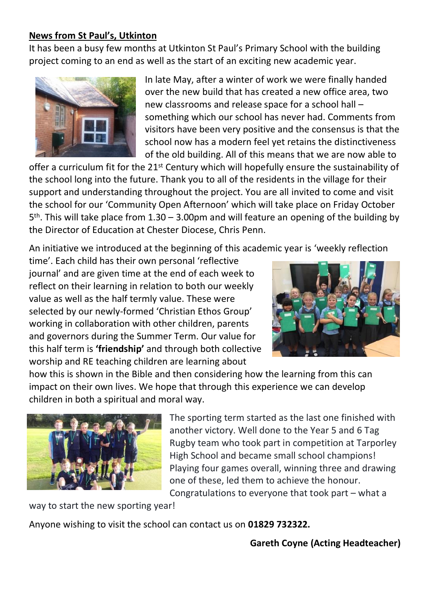#### **News from St Paul's, Utkinton**

It has been a busy few months at Utkinton St Paul's Primary School with the building project coming to an end as well as the start of an exciting new academic year.



In late May, after a winter of work we were finally handed over the new build that has created a new office area, two new classrooms and release space for a school hall – something which our school has never had. Comments from visitors have been very positive and the consensus is that the school now has a modern feel yet retains the distinctiveness of the old building. All of this means that we are now able to

offer a curriculum fit for the 21<sup>st</sup> Century which will hopefully ensure the sustainability of the school long into the future. Thank you to all of the residents in the village for their support and understanding throughout the project. You are all invited to come and visit the school for our 'Community Open Afternoon' which will take place on Friday October 5<sup>th</sup>. This will take place from 1.30 - 3.00pm and will feature an opening of the building by the Director of Education at Chester Diocese, Chris Penn.

An initiative we introduced at the beginning of this academic year is 'weekly reflection

time'. Each child has their own personal 'reflective journal' and are given time at the end of each week to reflect on their learning in relation to both our weekly value as well as the half termly value. These were selected by our newly-formed 'Christian Ethos Group' working in collaboration with other children, parents and governors during the Summer Term. Our value for this half term is **'friendship'** and through both collective worship and RE teaching children are learning about



how this is shown in the Bible and then considering how the learning from this can impact on their own lives. We hope that through this experience we can develop children in both a spiritual and moral way.



The sporting term started as the last one finished with another victory. Well done to the Year 5 and 6 Tag Rugby team who took part in competition at Tarporley High School and became small school champions! Playing four games overall, winning three and drawing one of these, led them to achieve the honour. Congratulations to everyone that took part – what a

way to start the new sporting year!

Anyone wishing to visit the school can contact us on **01829 732322.**

**Gareth Coyne (Acting Headteacher)**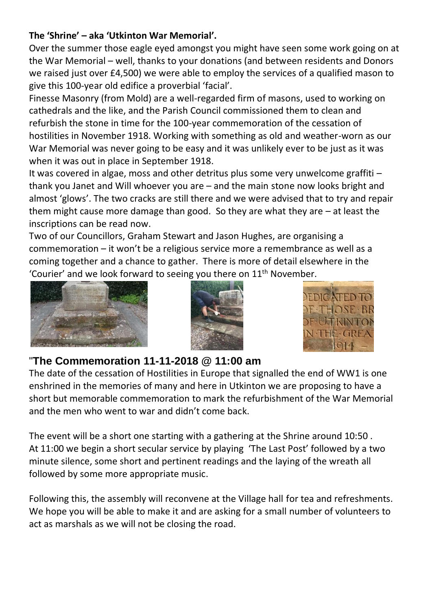#### **The 'Shrine' – aka 'Utkinton War Memorial'.**

Over the summer those eagle eyed amongst you might have seen some work going on at the War Memorial – well, thanks to your donations (and between residents and Donors we raised just over £4,500) we were able to employ the services of a qualified mason to give this 100-year old edifice a proverbial 'facial'.

Finesse Masonry (from Mold) are a well-regarded firm of masons, used to working on cathedrals and the like, and the Parish Council commissioned them to clean and refurbish the stone in time for the 100-year commemoration of the cessation of hostilities in November 1918. Working with something as old and weather-worn as our War Memorial was never going to be easy and it was unlikely ever to be just as it was when it was out in place in September 1918.

It was covered in algae, moss and other detritus plus some very unwelcome graffiti – thank you Janet and Will whoever you are – and the main stone now looks bright and almost 'glows'. The two cracks are still there and we were advised that to try and repair them might cause more damage than good. So they are what they are – at least the inscriptions can be read now.

Two of our Councillors, Graham Stewart and Jason Hughes, are organising a commemoration – it won't be a religious service more a remembrance as well as a coming together and a chance to gather. There is more of detail elsewhere in the 'Courier' and we look forward to seeing you there on  $11<sup>th</sup>$  November.







### "**The Commemoration 11-11-2018 @ 11:00 am**

The date of the cessation of Hostilities in Europe that signalled the end of WW1 is one enshrined in the memories of many and here in Utkinton we are proposing to have a short but memorable commemoration to mark the refurbishment of the War Memorial and the men who went to war and didn't come back.

The event will be a short one starting with a gathering at the Shrine around 10:50 . At 11:00 we begin a short secular service by playing 'The Last Post' followed by a two minute silence, some short and pertinent readings and the laying of the wreath all followed by some more appropriate music.

Following this, the assembly will reconvene at the Village hall for tea and refreshments. We hope you will be able to make it and are asking for a small number of volunteers to act as marshals as we will not be closing the road.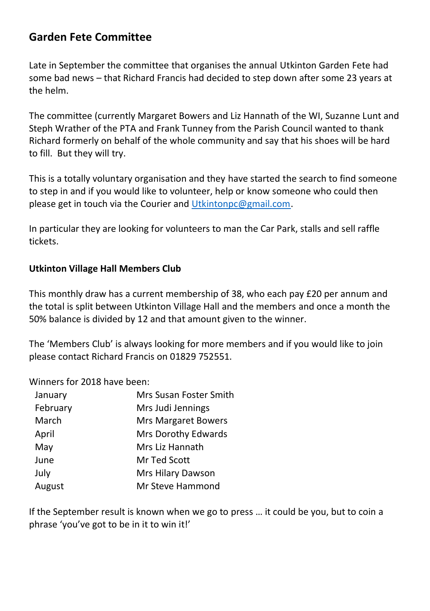### **Garden Fete Committee**

Late in September the committee that organises the annual Utkinton Garden Fete had some bad news – that Richard Francis had decided to step down after some 23 years at the helm.

The committee (currently Margaret Bowers and Liz Hannath of the WI, Suzanne Lunt and Steph Wrather of the PTA and Frank Tunney from the Parish Council wanted to thank Richard formerly on behalf of the whole community and say that his shoes will be hard to fill. But they will try.

This is a totally voluntary organisation and they have started the search to find someone to step in and if you would like to volunteer, help or know someone who could then please get in touch via the Courier and [Utkintonpc@gmail.com.](mailto:Utkintonpc@gmail.com) 

In particular they are looking for volunteers to man the Car Park, stalls and sell raffle tickets.

#### **Utkinton Village Hall Members Club**

This monthly draw has a current membership of 38, who each pay £20 per annum and the total is split between Utkinton Village Hall and the members and once a month the 50% balance is divided by 12 and that amount given to the winner.

The 'Members Club' is always looking for more members and if you would like to join please contact Richard Francis on 01829 752551.

Winners for 2018 have been:

| January  | Mrs Susan Foster Smith     |
|----------|----------------------------|
| February | Mrs Judi Jennings          |
| March    | <b>Mrs Margaret Bowers</b> |
| April    | Mrs Dorothy Edwards        |
| May      | Mrs Liz Hannath            |
| June     | Mr Ted Scott               |
| July     | Mrs Hilary Dawson          |
| August   | Mr Steve Hammond           |
|          |                            |

If the September result is known when we go to press … it could be you, but to coin a phrase 'you've got to be in it to win it!'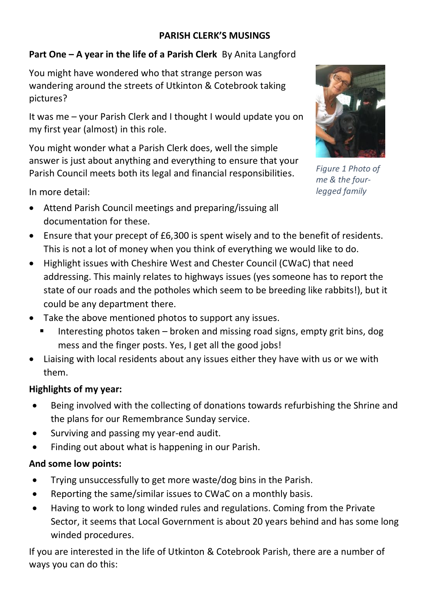#### **PARISH CLERK'S MUSINGS**

#### **Part One – A year in the life of a Parish Clerk** By Anita Langford

You might have wondered who that strange person was wandering around the streets of Utkinton & Cotebrook taking pictures?

It was me – your Parish Clerk and I thought I would update you on my first year (almost) in this role.

You might wonder what a Parish Clerk does, well the simple answer is just about anything and everything to ensure that your Parish Council meets both its legal and financial responsibilities.

In more detail:

• Attend Parish Council meetings and preparing/issuing all documentation for these.



*Figure 1 Photo of me & the fourlegged family*

- Ensure that your precept of £6,300 is spent wisely and to the benefit of residents. This is not a lot of money when you think of everything we would like to do.
- Highlight issues with Cheshire West and Chester Council (CWaC) that need addressing. This mainly relates to highways issues (yes someone has to report the state of our roads and the potholes which seem to be breeding like rabbits!), but it could be any department there.
- Take the above mentioned photos to support any issues.
	- Interesting photos taken broken and missing road signs, empty grit bins, dog mess and the finger posts. Yes, I get all the good jobs!
- Liaising with local residents about any issues either they have with us or we with them.

#### **Highlights of my year:**

- Being involved with the collecting of donations towards refurbishing the Shrine and the plans for our Remembrance Sunday service.
- Surviving and passing my year-end audit.
- Finding out about what is happening in our Parish.

#### **And some low points:**

- Trying unsuccessfully to get more waste/dog bins in the Parish.
- Reporting the same/similar issues to CWaC on a monthly basis.
- Having to work to long winded rules and regulations. Coming from the Private Sector, it seems that Local Government is about 20 years behind and has some long winded procedures.

If you are interested in the life of Utkinton & Cotebrook Parish, there are a number of ways you can do this: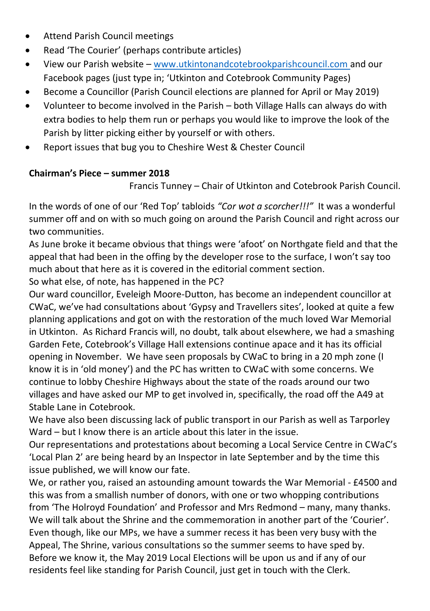- Attend Parish Council meetings
- Read 'The Courier' (perhaps contribute articles)
- View our Parish website [www.utkintonandcotebrookparishcouncil.com](http://www.utkintonandcotebrookparishcouncil.com/) and our Facebook pages (just type in; 'Utkinton and Cotebrook Community Pages)
- Become a Councillor (Parish Council elections are planned for April or May 2019)
- Volunteer to become involved in the Parish both Village Halls can always do with extra bodies to help them run or perhaps you would like to improve the look of the Parish by litter picking either by yourself or with others.
- Report issues that bug you to Cheshire West & Chester Council

#### **Chairman's Piece – summer 2018**

Francis Tunney – Chair of Utkinton and Cotebrook Parish Council.

In the words of one of our 'Red Top' tabloids *"Cor wot a scorcher!!!"* It was a wonderful summer off and on with so much going on around the Parish Council and right across our two communities.

As June broke it became obvious that things were 'afoot' on Northgate field and that the appeal that had been in the offing by the developer rose to the surface, I won't say too much about that here as it is covered in the editorial comment section.

So what else, of note, has happened in the PC?

Our ward councillor, Eveleigh Moore-Dutton, has become an independent councillor at CWaC, we've had consultations about 'Gypsy and Travellers sites', looked at quite a few planning applications and got on with the restoration of the much loved War Memorial in Utkinton. As Richard Francis will, no doubt, talk about elsewhere, we had a smashing Garden Fete, Cotebrook's Village Hall extensions continue apace and it has its official opening in November. We have seen proposals by CWaC to bring in a 20 mph zone (I know it is in 'old money') and the PC has written to CWaC with some concerns. We continue to lobby Cheshire Highways about the state of the roads around our two villages and have asked our MP to get involved in, specifically, the road off the A49 at Stable Lane in Cotebrook.

We have also been discussing lack of public transport in our Parish as well as Tarporley Ward – but I know there is an article about this later in the issue.

Our representations and protestations about becoming a Local Service Centre in CWaC's 'Local Plan 2' are being heard by an Inspector in late September and by the time this issue published, we will know our fate.

We, or rather you, raised an astounding amount towards the War Memorial - £4500 and this was from a smallish number of donors, with one or two whopping contributions from 'The Holroyd Foundation' and Professor and Mrs Redmond – many, many thanks. We will talk about the Shrine and the commemoration in another part of the 'Courier'. Even though, like our MPs, we have a summer recess it has been very busy with the Appeal, The Shrine, various consultations so the summer seems to have sped by. Before we know it, the May 2019 Local Elections will be upon us and if any of our residents feel like standing for Parish Council, just get in touch with the Clerk.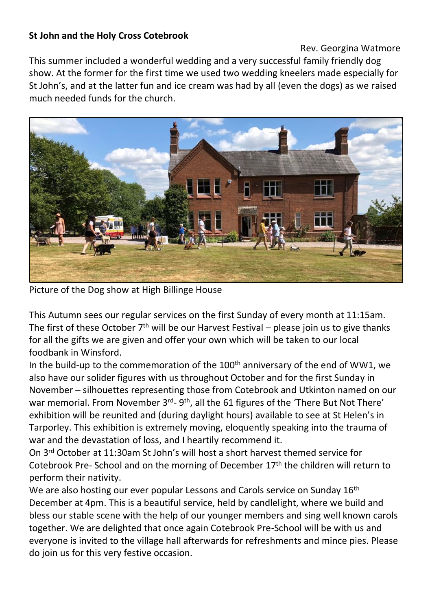#### **St John and the Holy Cross Cotebrook**

Rev. Georgina Watmore

This summer included a wonderful wedding and a very successful family friendly dog show. At the former for the first time we used two wedding kneelers made especially for St John's, and at the latter fun and ice cream was had by all (even the dogs) as we raised much needed funds for the church.



Picture of the Dog show at High Billinge House

This Autumn sees our regular services on the first Sunday of every month at 11:15am. The first of these October  $7<sup>th</sup>$  will be our Harvest Festival – please join us to give thanks for all the gifts we are given and offer your own which will be taken to our local foodbank in Winsford.

In the build-up to the commemoration of the 100<sup>th</sup> anniversary of the end of WW1, we also have our solider figures with us throughout October and for the first Sunday in November – silhouettes representing those from Cotebrook and Utkinton named on our war memorial. From November 3<sup>rd</sup>- 9<sup>th</sup>, all the 61 figures of the 'There But Not There' exhibition will be reunited and (during daylight hours) available to see at St Helen's in Tarporley. This exhibition is extremely moving, eloquently speaking into the trauma of war and the devastation of loss, and I heartily recommend it.

On 3rd October at 11:30am St John's will host a short harvest themed service for Cotebrook Pre- School and on the morning of December  $17<sup>th</sup>$  the children will return to perform their nativity.

We are also hosting our ever popular Lessons and Carols service on Sunday 16<sup>th</sup> December at 4pm. This is a beautiful service, held by candlelight, where we build and bless our stable scene with the help of our younger members and sing well known carols together. We are delighted that once again Cotebrook Pre-School will be with us and everyone is invited to the village hall afterwards for refreshments and mince pies. Please do join us for this very festive occasion.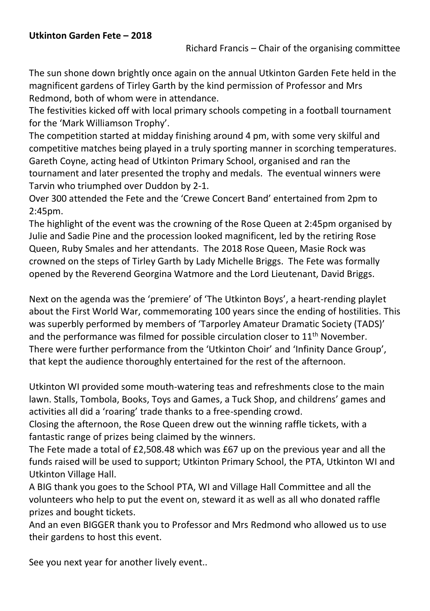The sun shone down brightly once again on the annual Utkinton Garden Fete held in the magnificent gardens of Tirley Garth by the kind permission of Professor and Mrs Redmond, both of whom were in attendance.

The festivities kicked off with local primary schools competing in a football tournament for the 'Mark Williamson Trophy'.

The competition started at midday finishing around 4 pm, with some very skilful and competitive matches being played in a truly sporting manner in scorching temperatures. Gareth Coyne, acting head of Utkinton Primary School, organised and ran the tournament and later presented the trophy and medals. The eventual winners were Tarvin who triumphed over Duddon by 2-1.

Over 300 attended the Fete and the 'Crewe Concert Band' entertained from 2pm to 2:45pm.

The highlight of the event was the crowning of the Rose Queen at 2:45pm organised by Julie and Sadie Pine and the procession looked magnificent, led by the retiring Rose Queen, Ruby Smales and her attendants. The 2018 Rose Queen, Masie Rock was crowned on the steps of Tirley Garth by Lady Michelle Briggs. The Fete was formally opened by the Reverend Georgina Watmore and the Lord Lieutenant, David Briggs.

Next on the agenda was the 'premiere' of 'The Utkinton Boys', a heart-rending playlet about the First World War, commemorating 100 years since the ending of hostilities. This was superbly performed by members of 'Tarporley Amateur Dramatic Society (TADS)' and the performance was filmed for possible circulation closer to 11<sup>th</sup> November. There were further performance from the 'Utkinton Choir' and 'Infinity Dance Group', that kept the audience thoroughly entertained for the rest of the afternoon.

Utkinton WI provided some mouth-watering teas and refreshments close to the main lawn. Stalls, Tombola, Books, Toys and Games, a Tuck Shop, and childrens' games and activities all did a 'roaring' trade thanks to a free-spending crowd.

Closing the afternoon, the Rose Queen drew out the winning raffle tickets, with a fantastic range of prizes being claimed by the winners.

The Fete made a total of £2,508.48 which was £67 up on the previous year and all the funds raised will be used to support; Utkinton Primary School, the PTA, Utkinton WI and Utkinton Village Hall.

A BIG thank you goes to the School PTA, WI and Village Hall Committee and all the volunteers who help to put the event on, steward it as well as all who donated raffle prizes and bought tickets.

And an even BIGGER thank you to Professor and Mrs Redmond who allowed us to use their gardens to host this event.

See you next year for another lively event..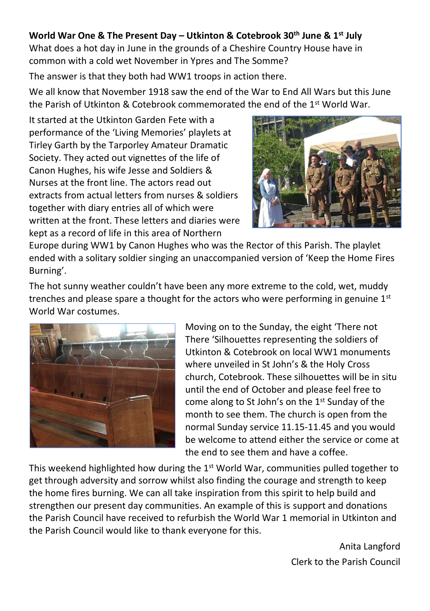#### **World War One & The Present Day – Utkinton & Cotebrook 30th June & 1st July**

What does a hot day in June in the grounds of a Cheshire Country House have in common with a cold wet November in Ypres and The Somme?

The answer is that they both had WW1 troops in action there.

We all know that November 1918 saw the end of the War to End All Wars but this June the Parish of Utkinton & Cotebrook commemorated the end of the 1st World War.

It started at the Utkinton Garden Fete with a performance of the 'Living Memories' playlets at Tirley Garth by the Tarporley Amateur Dramatic Society. They acted out vignettes of the life of Canon Hughes, his wife Jesse and Soldiers & Nurses at the front line. The actors read out extracts from actual letters from nurses & soldiers together with diary entries all of which were written at the front. These letters and diaries were kept as a record of life in this area of Northern



Europe during WW1 by Canon Hughes who was the Rector of this Parish. The playlet ended with a solitary soldier singing an unaccompanied version of 'Keep the Home Fires Burning'.

The hot sunny weather couldn't have been any more extreme to the cold, wet, muddy trenches and please spare a thought for the actors who were performing in genuine  $1<sup>st</sup>$ World War costumes.



Moving on to the Sunday, the eight 'There not There 'Silhouettes representing the soldiers of Utkinton & Cotebrook on local WW1 monuments where unveiled in St John's & the Holy Cross church, Cotebrook. These silhouettes will be in situ until the end of October and please feel free to come along to St John's on the 1<sup>st</sup> Sunday of the month to see them. The church is open from the normal Sunday service 11.15-11.45 and you would be welcome to attend either the service or come at the end to see them and have a coffee.

This weekend highlighted how during the  $1<sup>st</sup>$  World War, communities pulled together to get through adversity and sorrow whilst also finding the courage and strength to keep the home fires burning. We can all take inspiration from this spirit to help build and strengthen our present day communities. An example of this is support and donations the Parish Council have received to refurbish the World War 1 memorial in Utkinton and the Parish Council would like to thank everyone for this.

> Anita Langford Clerk to the Parish Council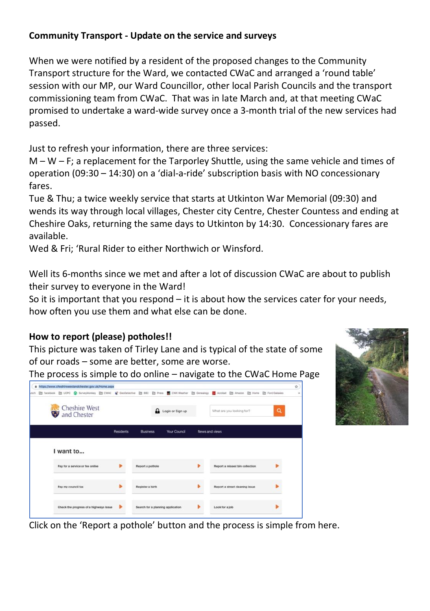#### **Community Transport - Update on the service and surveys**

When we were notified by a resident of the proposed changes to the Community Transport structure for the Ward, we contacted CWaC and arranged a 'round table' session with our MP, our Ward Councillor, other local Parish Councils and the transport commissioning team from CWaC. That was in late March and, at that meeting CWaC promised to undertake a ward-wide survey once a 3-month trial of the new services had passed.

Just to refresh your information, there are three services:

 $M - W - F$ ; a replacement for the Tarporley Shuttle, using the same vehicle and times of operation (09:30 – 14:30) on a 'dial-a-ride' subscription basis with NO concessionary fares.

Tue & Thu; a twice weekly service that starts at Utkinton War Memorial (09:30) and wends its way through local villages, Chester city Centre, Chester Countess and ending at Cheshire Oaks, returning the same days to Utkinton by 14:30. Concessionary fares are available.

Wed & Fri; 'Rural Rider to either Northwich or Winsford.

Well its 6-months since we met and after a lot of discussion CWaC are about to publish their survey to everyone in the Ward!

So it is important that you respond – it is about how the services cater for your needs, how often you use them and what else can be done.

#### **How to report (please) potholes!!**

This picture was taken of Tirley Lane and is typical of the state of some of our roads – some are better, some are worse.

The process is simple to do online – navigate to the CWaC Home Page





Click on the 'Report a pothole' button and the process is simple from here.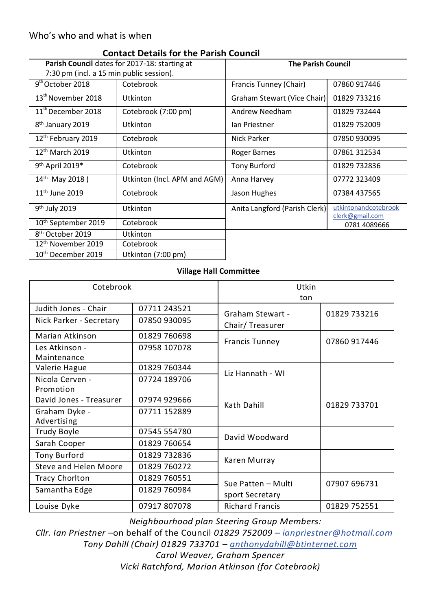#### Who's who and what is when

|                                                      | CONGEL DELAID TOI THE FAITSH COUNCIL |                               |                                         |
|------------------------------------------------------|--------------------------------------|-------------------------------|-----------------------------------------|
| <b>Parish Council</b> dates for 2017-18: starting at |                                      | <b>The Parish Council</b>     |                                         |
| 7:30 pm (incl. a 15 min public session).             |                                      |                               |                                         |
| $9th$ October 2018                                   | Cotebrook                            | Francis Tunney (Chair)        | 07860 917446                            |
| 13 <sup>th</sup> November 2018                       | Utkinton                             | Graham Stewart (Vice Chair)   | 01829 733216                            |
| $11^{\text{th}}$ December 2018                       | Cotebrook (7:00 pm)                  | Andrew Needham                | 01829 732444                            |
| 8 <sup>th</sup> January 2019                         | Utkinton                             | lan Priestner                 | 01829 752009                            |
| 12th February 2019                                   | Cotebrook                            | Nick Parker                   | 07850 930095                            |
| 12 <sup>th</sup> March 2019                          | Utkinton                             | Roger Barnes                  | 07861 312534                            |
| 9 <sup>th</sup> April 2019*                          | Cotebrook                            | <b>Tony Burford</b>           | 01829 732836                            |
| 14th May 2018 (                                      | Utkinton (Incl. APM and AGM)         | Anna Harvey                   | 07772 323409                            |
| 11 <sup>th</sup> June 2019                           | Cotebrook                            | Jason Hughes                  | 07384 437565                            |
| 9 <sup>th</sup> July 2019                            | Utkinton                             | Anita Langford (Parish Clerk) | utkintonandcotebrook<br>clerk@gmail.com |
| 10 <sup>th</sup> September 2019                      | Cotebrook                            |                               | 0781 4089666                            |
| 8 <sup>th</sup> October 2019                         | Utkinton                             |                               |                                         |
| 12 <sup>th</sup> November 2019                       | Cotebrook                            |                               |                                         |
| 10 <sup>th</sup> December 2019                       | Utkinton (7:00 pm)                   |                               |                                         |

#### **Contact Details for the Parish Council**

#### **Village Hall Committee**

| Cotebrook                     |              | Utkin<br>ton           |              |
|-------------------------------|--------------|------------------------|--------------|
| Judith Jones - Chair          | 07711 243521 | Graham Stewart -       | 01829 733216 |
| Nick Parker - Secretary       | 07850 930095 | Chair/Treasurer        |              |
| Marian Atkinson               | 01829 760698 |                        | 07860 917446 |
| Les Atkinson -<br>Maintenance | 07958 107078 | <b>Francis Tunney</b>  |              |
| Valerie Hague                 | 01829 760344 | Liz Hannath - WI       |              |
| Nicola Cerven -<br>Promotion  | 07724 189706 |                        |              |
| David Jones - Treasurer       | 07974 929666 | Kath Dahill            | 01829 733701 |
| Graham Dyke -<br>Advertising  | 07711 152889 |                        |              |
| Trudy Boyle                   | 07545 554780 | David Woodward         |              |
| Sarah Cooper                  | 01829 760654 |                        |              |
| Tony Burford                  | 01829 732836 | Karen Murray           |              |
| Steve and Helen Moore         | 01829 760272 |                        |              |
| <b>Tracy Chorlton</b>         | 01829 760551 | Sue Patten - Multi     | 07907 696731 |
| Samantha Edge                 | 01829 760984 | sport Secretary        |              |
| Louise Dyke                   | 07917807078  | <b>Richard Francis</b> | 01829 752551 |

*Neighbourhood plan Steering Group Members:*

*Cllr. Ian Priestner –*on behalf of the Council *01829 752009 – [ianpriestner@hotmail.com](mailto:ianpriestner@hotmail.com) Tony Dahill (Chair) 01829 733701 – [anthonydahill@btinternet.com](mailto:anthonydahill@btinternet.com)*

*Carol Weaver, Graham Spencer Vicki Ratchford, Marian Atkinson (for Cotebrook)*